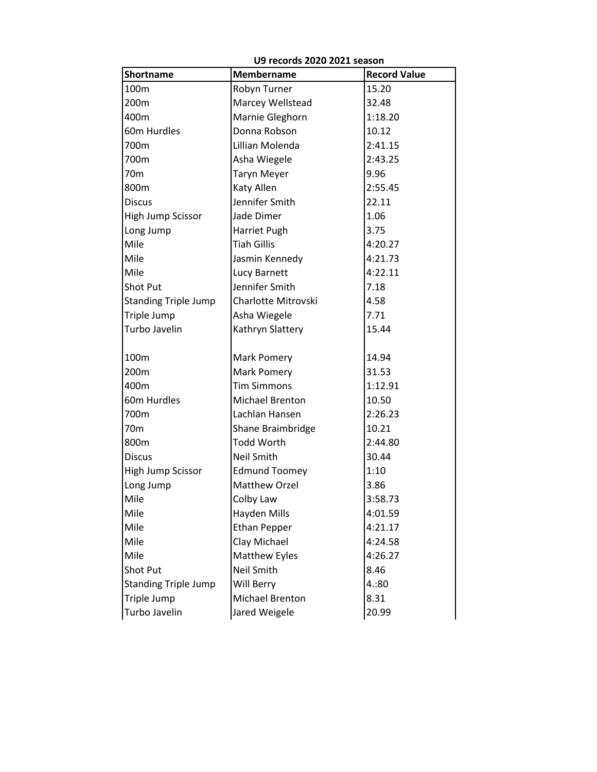| U9 records 2020 2021 season |                      |                     |
|-----------------------------|----------------------|---------------------|
| <b>Shortname</b>            | <b>Membername</b>    | <b>Record Value</b> |
| 100 <sub>m</sub>            | Robyn Turner         | 15.20               |
| 200m                        | Marcey Wellstead     | 32.48               |
| 400m                        | Marnie Gleghorn      | 1:18.20             |
| 60m Hurdles                 | Donna Robson         | 10.12               |
| 700m                        | Lillian Molenda      | 2:41.15             |
| 700m                        | Asha Wiegele         | 2:43.25             |
| 70 <sub>m</sub>             | <b>Taryn Meyer</b>   | 9.96                |
| 800m                        | Katy Allen           | 2:55.45             |
| <b>Discus</b>               | Jennifer Smith       | 22.11               |
| High Jump Scissor           | Jade Dimer           | 1.06                |
| Long Jump                   | Harriet Pugh         | 3.75                |
| Mile                        | <b>Tiah Gillis</b>   | 4:20.27             |
| Mile                        | Jasmin Kennedy       | 4:21.73             |
| Mile                        | Lucy Barnett         | 4:22.11             |
| Shot Put                    | Jennifer Smith       | 7.18                |
| <b>Standing Triple Jump</b> | Charlotte Mitrovski  | 4.58                |
| Triple Jump                 | Asha Wiegele         | 7.71                |
| Turbo Javelin               | Kathryn Slattery     | 15.44               |
|                             |                      |                     |
| 100m                        | Mark Pomery          | 14.94               |
| 200m                        | <b>Mark Pomery</b>   | 31.53               |
| 400m                        | <b>Tim Simmons</b>   | 1:12.91             |
| 60m Hurdles                 | Michael Brenton      | 10.50               |
| 700m                        | Lachlan Hansen       | 2:26.23             |
| 70m                         | Shane Braimbridge    | 10.21               |
| 800m                        | <b>Todd Worth</b>    | 2:44.80             |
| <b>Discus</b>               | Neil Smith           | 30.44               |
| High Jump Scissor           | <b>Edmund Toomey</b> | 1:10                |
| Long Jump                   | Matthew Orzel        | 3.86                |
| Mile                        | Colby Law            | 3:58.73             |
| Mile                        | Hayden Mills         | 4:01.59             |
| Mile                        | <b>Ethan Pepper</b>  | 4:21.17             |
| Mile                        | Clay Michael         | 4:24.58             |
| Mile                        | Matthew Eyles        | 4:26.27             |
| Shot Put                    | <b>Neil Smith</b>    | 8.46                |
| <b>Standing Triple Jump</b> | Will Berry           | 4.:80               |
| Triple Jump                 | Michael Brenton      | 8.31                |
| Turbo Javelin               | Jared Weigele        | 20.99               |